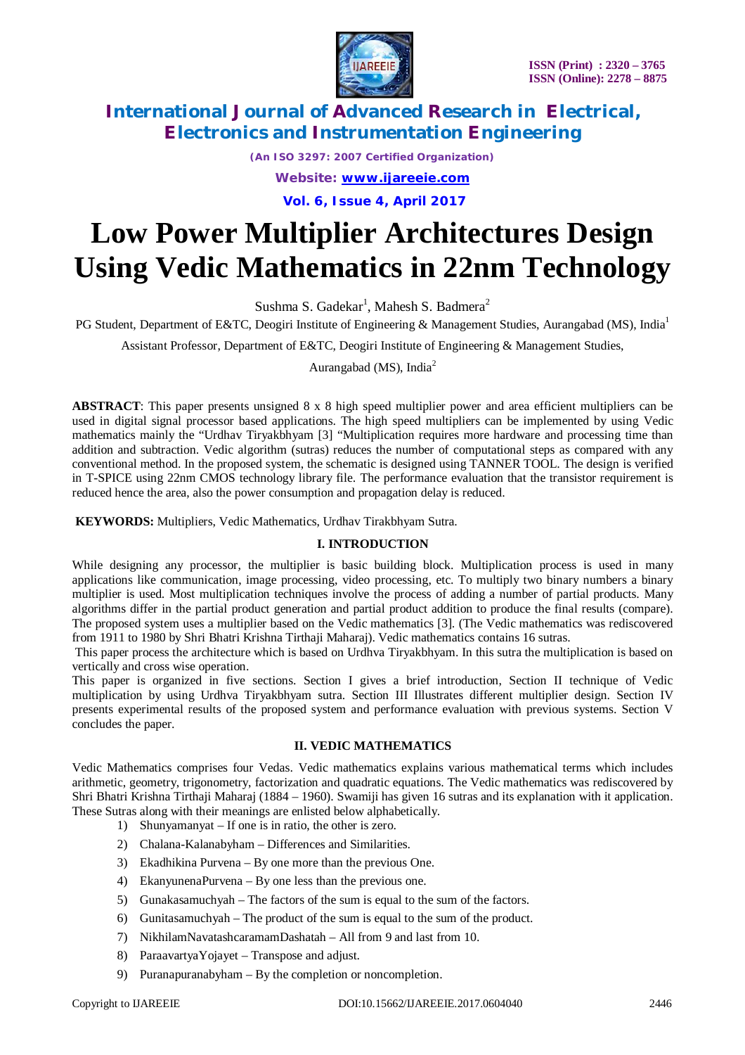

*(An ISO 3297: 2007 Certified Organization) Website: [www.ijareeie.com](http://www.ijareeie.com)*

**Vol. 6, Issue 4, April 2017**

# **Low Power Multiplier Architectures Design Using Vedic Mathematics in 22nm Technology**

Sushma S. Gadekar<sup>1</sup>, Mahesh S. Badmera<sup>2</sup>

PG Student, Department of E&TC, Deogiri Institute of Engineering & Management Studies, Aurangabad (MS), India<sup>1</sup>

Assistant Professor, Department of E&TC, Deogiri Institute of Engineering & Management Studies,

Aurangabad (MS), India<sup>2</sup>

**ABSTRACT**: This paper presents unsigned 8 x 8 high speed multiplier power and area efficient multipliers can be used in digital signal processor based applications. The high speed multipliers can be implemented by using Vedic mathematics mainly the "Urdhav Tiryakbhyam [3] "Multiplication requires more hardware and processing time than addition and subtraction. Vedic algorithm (sutras) reduces the number of computational steps as compared with any conventional method. In the proposed system, the schematic is designed using TANNER TOOL. The design is verified in T-SPICE using 22nm CMOS technology library file. The performance evaluation that the transistor requirement is reduced hence the area, also the power consumption and propagation delay is reduced.

**KEYWORDS:** Multipliers, Vedic Mathematics, Urdhav Tirakbhyam Sutra.

## **I. INTRODUCTION**

While designing any processor, the multiplier is basic building block. Multiplication process is used in many applications like communication, image processing, video processing, etc. To multiply two binary numbers a binary multiplier is used. Most multiplication techniques involve the process of adding a number of partial products. Many algorithms differ in the partial product generation and partial product addition to produce the final results (compare). The proposed system uses a multiplier based on the Vedic mathematics [3]. (The Vedic mathematics was rediscovered from 1911 to 1980 by Shri Bhatri Krishna Tirthaji Maharaj). Vedic mathematics contains 16 sutras.

This paper process the architecture which is based on Urdhva Tiryakbhyam. In this sutra the multiplication is based on vertically and cross wise operation.

This paper is organized in five sections. Section I gives a brief introduction, Section II technique of Vedic multiplication by using Urdhva Tiryakbhyam sutra. Section III Illustrates different multiplier design. Section IV presents experimental results of the proposed system and performance evaluation with previous systems. Section V concludes the paper.

## **II. VEDIC MATHEMATICS**

Vedic Mathematics comprises four Vedas. Vedic mathematics explains various mathematical terms which includes arithmetic, geometry, trigonometry, factorization and quadratic equations. The Vedic mathematics was rediscovered by Shri Bhatri Krishna Tirthaji Maharaj (1884 – 1960). Swamiji has given 16 sutras and its explanation with it application. These Sutras along with their meanings are enlisted below alphabetically.

- 1) Shunyamanyat If one is in ratio, the other is zero.
- 2) Chalana-Kalanabyham Differences and Similarities.
- 3) Ekadhikina Purvena By one more than the previous One.
- 4) EkanyunenaPurvena By one less than the previous one.
- 5) Gunakasamuchyah The factors of the sum is equal to the sum of the factors.
- 6) Gunitasamuchyah The product of the sum is equal to the sum of the product.
- 7) NikhilamNavatashcaramamDashatah All from 9 and last from 10.
- 8) ParaavartyaYojayet Transpose and adjust.
- 9) Puranapuranabyham By the completion or noncompletion.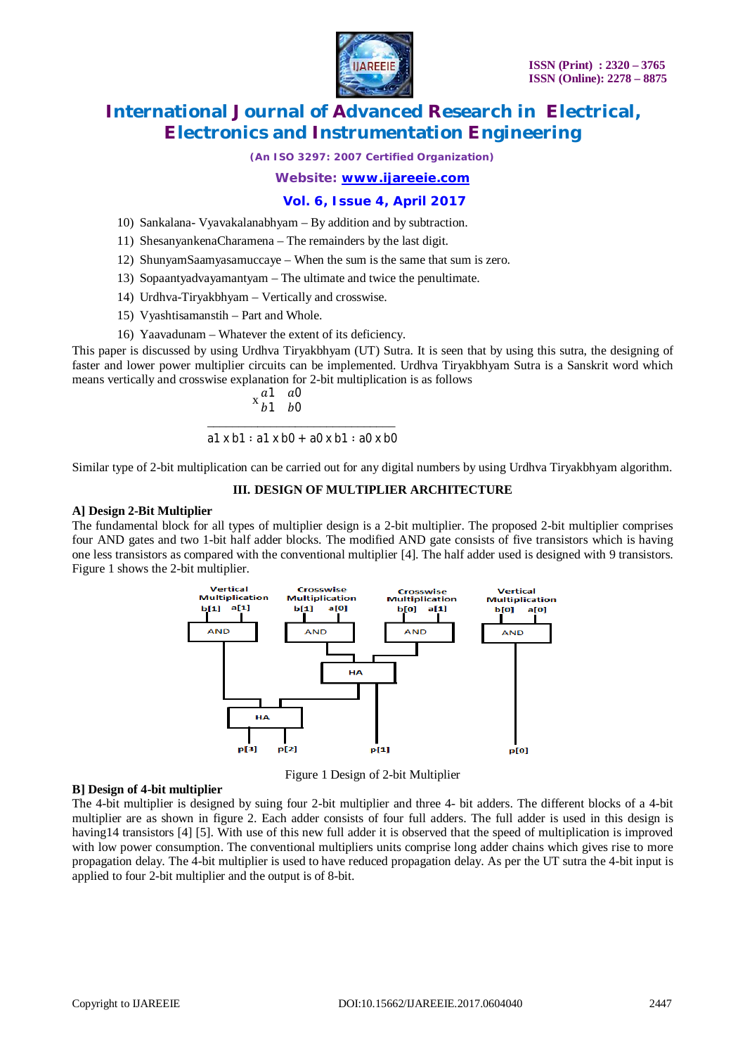

*(An ISO 3297: 2007 Certified Organization)*

*Website: [www.ijareeie.com](http://www.ijareeie.com)*

## **Vol. 6, Issue 4, April 2017**

- 10) Sankalana- Vyavakalanabhyam By addition and by subtraction.
- 11) ShesanyankenaCharamena The remainders by the last digit.
- 12) ShunyamSaamyasamuccaye When the sum is the same that sum is zero.
- 13) Sopaantyadvayamantyam The ultimate and twice the penultimate.
- 14) Urdhva-Tiryakbhyam Vertically and crosswise.
- 15) Vyashtisamanstih Part and Whole.
- 16) Yaavadunam Whatever the extent of its deficiency.

This paper is discussed by using Urdhva Tiryakbhyam (UT) Sutra. It is seen that by using this sutra, the designing of faster and lower power multiplier circuits can be implemented. Urdhva Tiryakbhyam Sutra is a Sanskrit word which means vertically and crosswise explanation for 2-bit multiplication is as follows

$$
\begin{array}{cc}\n a1 & a0 \\
b1 & b0\n\end{array}
$$

\_\_\_\_\_\_\_\_\_\_\_\_\_\_\_\_\_\_\_\_\_\_\_\_\_\_\_\_\_\_ a1 x b1 ∶ a1 x b0 + a0 x b1 ∶ a0 x b0

Similar type of 2-bit multiplication can be carried out for any digital numbers by using Urdhva Tiryakbhyam algorithm.

#### **III. DESIGN OF MULTIPLIER ARCHITECTURE**

#### **A] Design 2-Bit Multiplier**

The fundamental block for all types of multiplier design is a 2-bit multiplier. The proposed 2-bit multiplier comprises four AND gates and two 1-bit half adder blocks. The modified AND gate consists of five transistors which is having one less transistors as compared with the conventional multiplier [4]. The half adder used is designed with 9 transistors. Figure 1 shows the 2-bit multiplier.



Figure 1 Design of 2-bit Multiplier

#### **B] Design of 4-bit multiplier**

The 4-bit multiplier is designed by suing four 2-bit multiplier and three 4- bit adders. The different blocks of a 4-bit multiplier are as shown in figure 2. Each adder consists of four full adders. The full adder is used in this design is having14 transistors [4] [5]. With use of this new full adder it is observed that the speed of multiplication is improved with low power consumption. The conventional multipliers units comprise long adder chains which gives rise to more propagation delay. The 4-bit multiplier is used to have reduced propagation delay. As per the UT sutra the 4-bit input is applied to four 2-bit multiplier and the output is of 8-bit.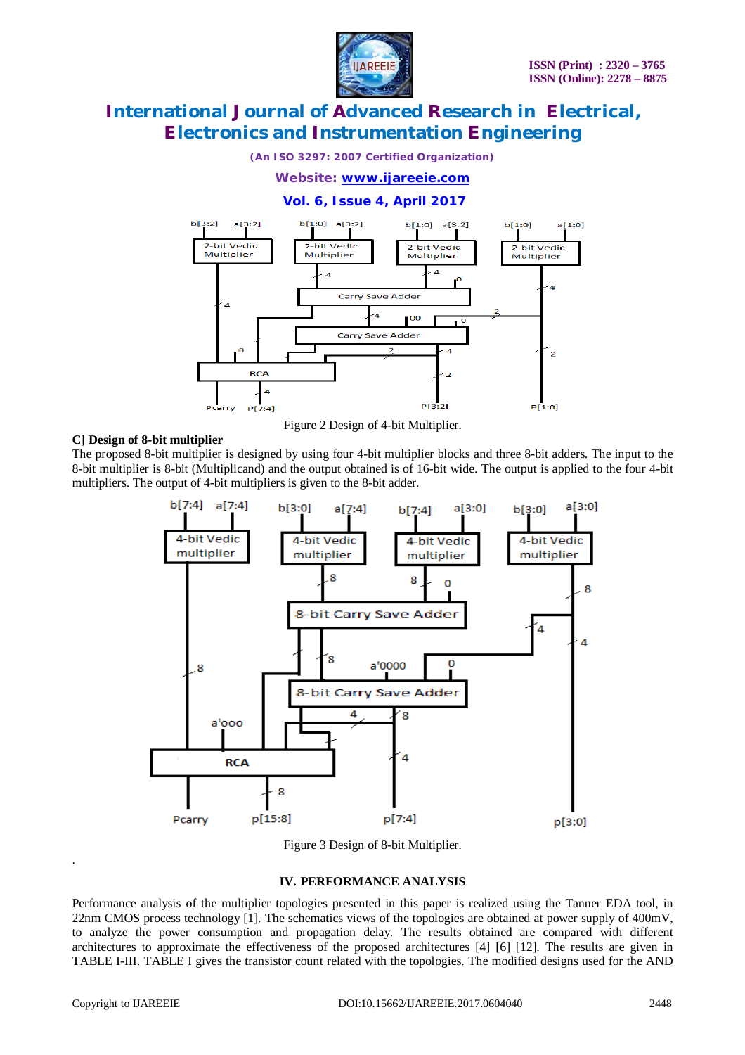

*(An ISO 3297: 2007 Certified Organization)*

*Website: [www.ijareeie.com](http://www.ijareeie.com)*

# **Vol. 6, Issue 4, April 2017**



Figure 2 Design of 4-bit Multiplier.

### **C] Design of 8-bit multiplier**

The proposed 8-bit multiplier is designed by using four 4-bit multiplier blocks and three 8-bit adders. The input to the 8-bit multiplier is 8-bit (Multiplicand) and the output obtained is of 16-bit wide. The output is applied to the four 4-bit multipliers. The output of 4-bit multipliers is given to the 8-bit adder.



Figure 3 Design of 8-bit Multiplier.

## **IV. PERFORMANCE ANALYSIS**

Performance analysis of the multiplier topologies presented in this paper is realized using the Tanner EDA tool, in 22nm CMOS process technology [1]. The schematics views of the topologies are obtained at power supply of 400mV, to analyze the power consumption and propagation delay. The results obtained are compared with different architectures to approximate the effectiveness of the proposed architectures [4] [6] [12]. The results are given in TABLE I-III. TABLE I gives the transistor count related with the topologies. The modified designs used for the AND

.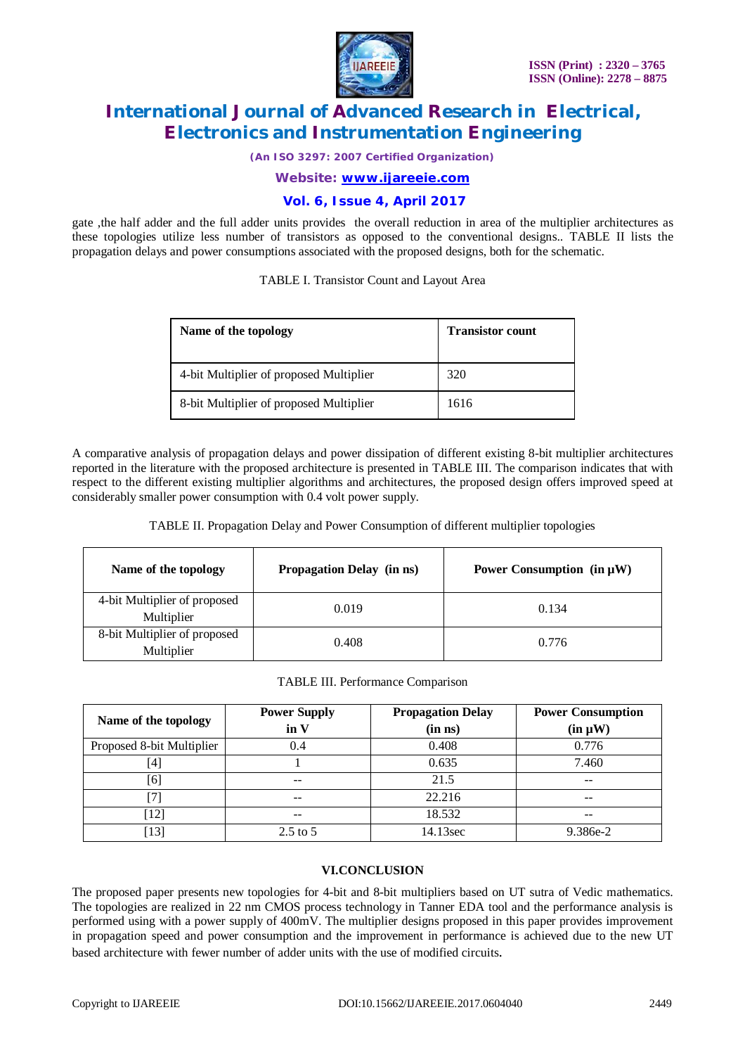

*(An ISO 3297: 2007 Certified Organization)*

*Website: [www.ijareeie.com](http://www.ijareeie.com)*

## **Vol. 6, Issue 4, April 2017**

gate ,the half adder and the full adder units provides the overall reduction in area of the multiplier architectures as these topologies utilize less number of transistors as opposed to the conventional designs.. TABLE II lists the propagation delays and power consumptions associated with the proposed designs, both for the schematic.

TABLE I. Transistor Count and Layout Area

| Name of the topology                    | <b>Transistor count</b> |
|-----------------------------------------|-------------------------|
| 4-bit Multiplier of proposed Multiplier | 320                     |
| 8-bit Multiplier of proposed Multiplier | 1616                    |

A comparative analysis of propagation delays and power dissipation of different existing 8-bit multiplier architectures reported in the literature with the proposed architecture is presented in TABLE III. The comparison indicates that with respect to the different existing multiplier algorithms and architectures, the proposed design offers improved speed at considerably smaller power consumption with 0.4 volt power supply.

TABLE II. Propagation Delay and Power Consumption of different multiplier topologies

| Name of the topology                       | Propagation Delay (in ns) | Power Consumption $(in \mu W)$ |
|--------------------------------------------|---------------------------|--------------------------------|
| 4-bit Multiplier of proposed<br>Multiplier | 0.019                     | 0.134                          |
| 8-bit Multiplier of proposed<br>Multiplier | 0.408                     | 0.776                          |

#### TABLE III. Performance Comparison

| Name of the topology      | <b>Power Supply</b><br>in V | <b>Propagation Delay</b><br>$(in \; ns)$ | <b>Power Consumption</b><br>$(in \mu W)$ |
|---------------------------|-----------------------------|------------------------------------------|------------------------------------------|
| Proposed 8-bit Multiplier | 0.4                         | 0.408                                    | 0.776                                    |
| [4]                       |                             | 0.635                                    | 7.460                                    |
| [6]                       | --                          | 21.5                                     | --                                       |
|                           | $- -$                       | 22.216                                   | $- -$                                    |
| [12]                      | --                          | 18.532                                   | --                                       |
| [13]                      | $2.5$ to $5$                | 14.13sec                                 | 9.386e-2                                 |

### **VI.CONCLUSION**

The proposed paper presents new topologies for 4-bit and 8-bit multipliers based on UT sutra of Vedic mathematics. The topologies are realized in 22 nm CMOS process technology in Tanner EDA tool and the performance analysis is performed using with a power supply of 400mV. The multiplier designs proposed in this paper provides improvement in propagation speed and power consumption and the improvement in performance is achieved due to the new UT based architecture with fewer number of adder units with the use of modified circuits.